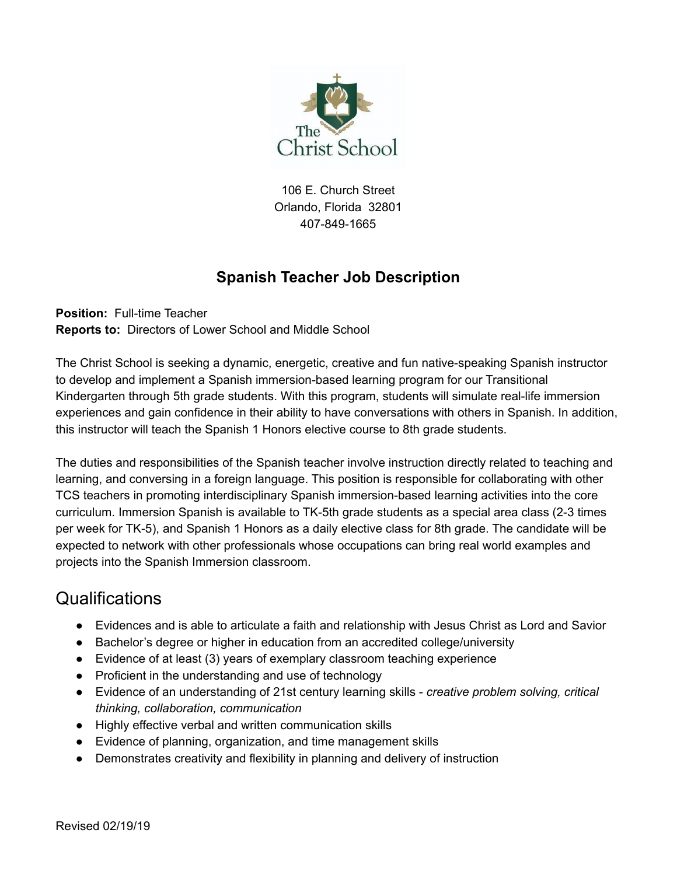

106 E. Church Street Orlando, Florida 32801 407-849-1665

#### **Spanish Teacher Job Description**

**Position:** Full-time Teacher **Reports to:** Directors of Lower School and Middle School

The Christ School is seeking a dynamic, energetic, creative and fun native-speaking Spanish instructor to develop and implement a Spanish immersion-based learning program for our Transitional Kindergarten through 5th grade students. With this program, students will simulate real-life immersion experiences and gain confidence in their ability to have conversations with others in Spanish. In addition, this instructor will teach the Spanish 1 Honors elective course to 8th grade students.

The duties and responsibilities of the Spanish teacher involve instruction directly related to teaching and learning, and conversing in a foreign language. This position is responsible for collaborating with other TCS teachers in promoting interdisciplinary Spanish immersion-based learning activities into the core curriculum. Immersion Spanish is available to TK-5th grade students as a special area class (2-3 times per week for TK-5), and Spanish 1 Honors as a daily elective class for 8th grade. The candidate will be expected to network with other professionals whose occupations can bring real world examples and projects into the Spanish Immersion classroom.

# **Qualifications**

- Evidences and is able to articulate a faith and relationship with Jesus Christ as Lord and Savior
- Bachelor's degree or higher in education from an accredited college/university
- Evidence of at least (3) years of exemplary classroom teaching experience
- Proficient in the understanding and use of technology
- Evidence of an understanding of 21st century learning skills *creative problem solving, critical thinking, collaboration, communication*
- Highly effective verbal and written communication skills
- Evidence of planning, organization, and time management skills
- Demonstrates creativity and flexibility in planning and delivery of instruction